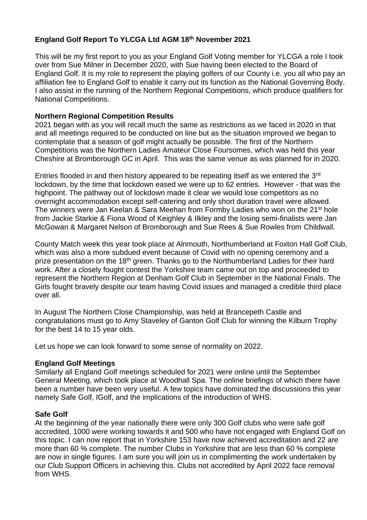# **England Golf Report To YLCGA Ltd AGM 18th November 2021**

This will be my first report to you as your England Golf Voting member for YLCGA a role I took over from Sue Milner in December 2020, with Sue having been elected to the Board of England Golf. It is my role to represent the playing golfers of our County i.e. you all who pay an affiliation fee to England Golf to enable it carry out its function as the National Governing Body. I also assist in the running of the Northern Regional Competitions, which produce qualifiers for National Competitions.

### **Northern Regional Competition Results**

2021 began with as you will recall much the same as restrictions as we faced in 2020 in that and all meetings required to be conducted on line but as the situation improved we began to contemplate that a season of golf might actually be possible. The first of the Northern Competitions was the Northern Ladies Amateur Close Foursomes, which was held this year Cheshire at Bromborough GC in April. This was the same venue as was planned for in 2020.

Entries flooded in and then history appeared to be repeating itself as we entered the 3<sup>rd</sup> lockdown, by the time that lockdown eased we were up to 62 entries. However - that was the highpoint. The pathway out of lockdown made it clear we would lose competitors as no overnight accommodation except self-catering and only short duration travel were allowed. The winners were Jan Keelan & Sara Meehan from Formby Ladies who won on the 21<sup>st</sup> hole from Jackie Starkie & Fiona Wood of Keighley & Ilkley and the losing semi-finalists were Jan McGowan & Margaret Nelson of Bromborough and Sue Rees & Sue Rowles from Childwall.

County Match week this year took place at Alnmouth, Northumberland at Foxton Hall Golf Club, which was also a more subdued event because of Covid with no opening ceremony and a prize presentation on the 18<sup>th</sup> green. Thanks go to the Northumberland Ladies for their hard work. After a closely fought contest the Yorkshire team came out on top and proceeded to represent the Northern Region at Denham Golf Club in September in the National Finals. The Girls fought bravely despite our team having Covid issues and managed a credible third place over all.

In August The Northern Close Championship, was held at Brancepeth Castle and congratulations must go to Amy Staveley of Ganton Golf Club for winning the Kilburn Trophy for the best 14 to 15 year olds.

Let us hope we can look forward to some sense of normality on 2022.

#### **England Golf Meetings**

Similarly all England Golf meetings scheduled for 2021 were online until the September General Meeting, which took place at Woodhall Spa. The online briefings of which there have been a number have been very useful. A few topics have dominated the discussions this year namely Safe Golf, IGolf, and the implications of the introduction of WHS.

#### **Safe Golf**

At the beginning of the year nationally there were only 300 Golf clubs who were safe golf accredited, 1000 were working towards it and 500 who have not engaged with England Golf on this topic. I can now report that in Yorkshire 153 have now achieved accreditation and 22 are more than 60 % complete. The number Clubs in Yorkshire that are less than 60 % complete are now in single figures. I am sure you will join us in complimenting the work undertaken by our Club Support Officers in achieving this. Clubs not accredited by April 2022 face removal from WHS.